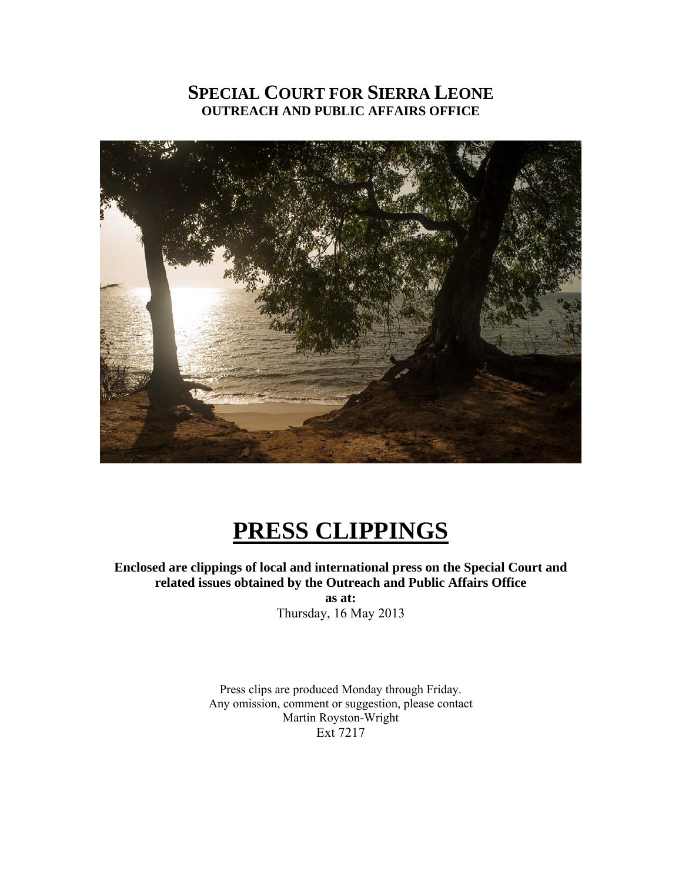### **SPECIAL COURT FOR SIERRA LEONE OUTREACH AND PUBLIC AFFAIRS OFFICE**



## **PRESS CLIPPINGS**

**Enclosed are clippings of local and international press on the Special Court and related issues obtained by the Outreach and Public Affairs Office as at:** 

Thursday, 16 May 2013

Press clips are produced Monday through Friday. Any omission, comment or suggestion, please contact Martin Royston-Wright Ext 7217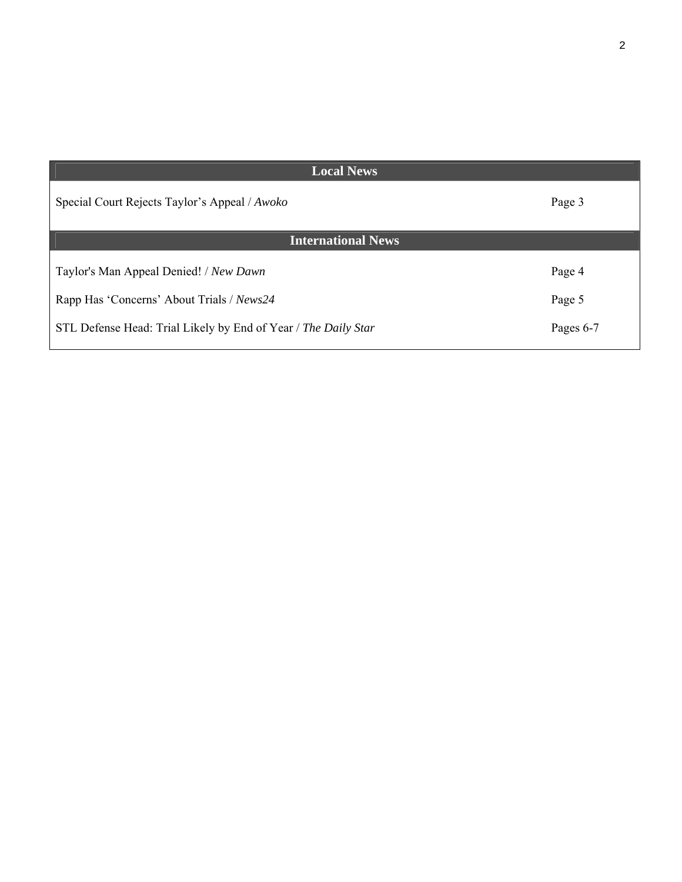| <b>Local News</b>                                              |           |
|----------------------------------------------------------------|-----------|
| Special Court Rejects Taylor's Appeal / Awoko                  | Page 3    |
| <b>International News</b>                                      |           |
| Taylor's Man Appeal Denied! / New Dawn                         | Page 4    |
| Rapp Has 'Concerns' About Trials / News24                      | Page 5    |
| STL Defense Head: Trial Likely by End of Year / The Daily Star | Pages 6-7 |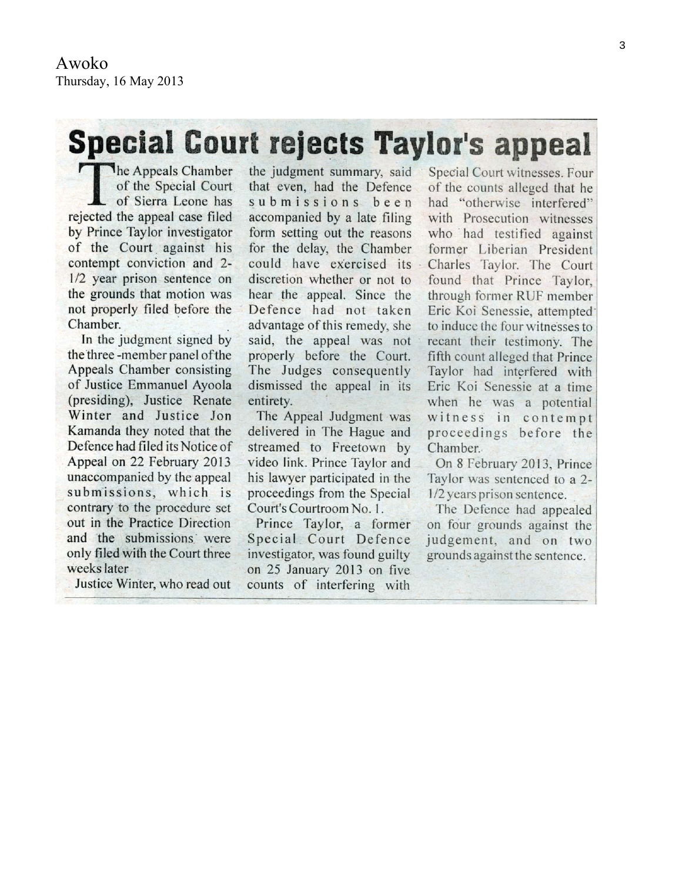# **Special Court rejects Taylor's appeal**

The Appeals Chamber of the Special Court of Sierra Leone has rejected the appeal case filed by Prince Taylor investigator of the Court against his contempt conviction and 2-1/2 year prison sentence on the grounds that motion was not properly filed before the Chamber.

In the judgment signed by the three-member panel of the Appeals Chamber consisting of Justice Emmanuel Ayoola (presiding), Justice Renate Winter and Justice Jon Kamanda they noted that the Defence had filed its Notice of Appeal on 22 February 2013 unaccompanied by the appeal submissions, which is contrary to the procedure set out in the Practice Direction and the submissions were only filed with the Court three weeks later

Justice Winter, who read out

the judgment summary, said that even, had the Defence submissions been accompanied by a late filing form setting out the reasons for the delay, the Chamber could have exercised its discretion whether or not to hear the appeal. Since the Defence had not taken advantage of this remedy, she said, the appeal was not properly before the Court. The Judges consequently dismissed the appeal in its entirety.

The Appeal Judgment was delivered in The Hague and streamed to Freetown by video link. Prince Taylor and his lawyer participated in the proceedings from the Special Court's Courtroom No. 1.

Prince Taylor, a former Special Court Defence investigator, was found guilty on 25 January 2013 on five counts of interfering with

Special Court witnesses. Four of the counts alleged that he had "otherwise interfered" with Prosecution witnesses who had testified against former Liberian President Charles Taylor. The Court found that Prince Taylor. through former RUF member Eric Koi Senessie, attempted to induce the four witnesses to recant their testimony. The fifth count alleged that Prince Taylor had interfered with Eric Koi Senessie at a time when he was a potential witness in contempt proceedings before the Chamber.

On 8 February 2013, Prince Taylor was sentenced to a 2-1/2 years prison sentence.

The Defence had appealed on four grounds against the judgement, and on two grounds against the sentence.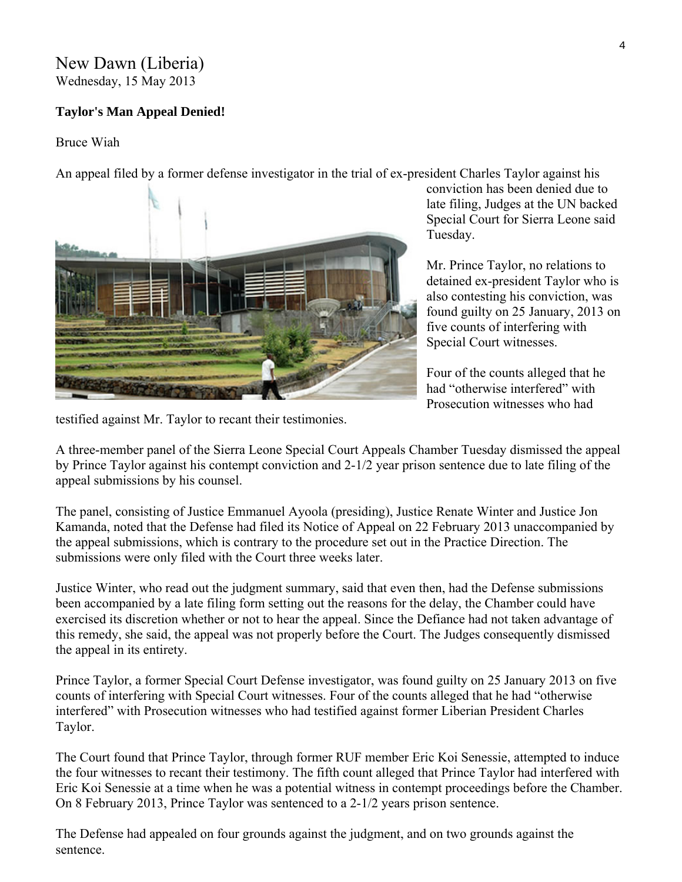#### New Dawn (Liberia) Wednesday, 15 May 2013

#### **Taylor's Man Appeal Denied!**

#### Bruce Wiah

An appeal filed by a former defense investigator in the trial of ex-president Charles Taylor against his



conviction has been denied due to late filing, Judges at the UN backed Special Court for Sierra Leone said Tuesday.

Mr. Prince Taylor, no relations to detained ex-president Taylor who is also contesting his conviction, was found guilty on 25 January, 2013 on five counts of interfering with Special Court witnesses.

Four of the counts alleged that he had "otherwise interfered" with Prosecution witnesses who had

testified against Mr. Taylor to recant their testimonies.

A three-member panel of the Sierra Leone Special Court Appeals Chamber Tuesday dismissed the appeal by Prince Taylor against his contempt conviction and 2-1/2 year prison sentence due to late filing of the appeal submissions by his counsel.

The panel, consisting of Justice Emmanuel Ayoola (presiding), Justice Renate Winter and Justice Jon Kamanda, noted that the Defense had filed its Notice of Appeal on 22 February 2013 unaccompanied by the appeal submissions, which is contrary to the procedure set out in the Practice Direction. The submissions were only filed with the Court three weeks later.

Justice Winter, who read out the judgment summary, said that even then, had the Defense submissions been accompanied by a late filing form setting out the reasons for the delay, the Chamber could have exercised its discretion whether or not to hear the appeal. Since the Defiance had not taken advantage of this remedy, she said, the appeal was not properly before the Court. The Judges consequently dismissed the appeal in its entirety.

Prince Taylor, a former Special Court Defense investigator, was found guilty on 25 January 2013 on five counts of interfering with Special Court witnesses. Four of the counts alleged that he had "otherwise interfered" with Prosecution witnesses who had testified against former Liberian President Charles Taylor.

The Court found that Prince Taylor, through former RUF member Eric Koi Senessie, attempted to induce the four witnesses to recant their testimony. The fifth count alleged that Prince Taylor had interfered with Eric Koi Senessie at a time when he was a potential witness in contempt proceedings before the Chamber. On 8 February 2013, Prince Taylor was sentenced to a 2-1/2 years prison sentence.

The Defense had appealed on four grounds against the judgment, and on two grounds against the sentence.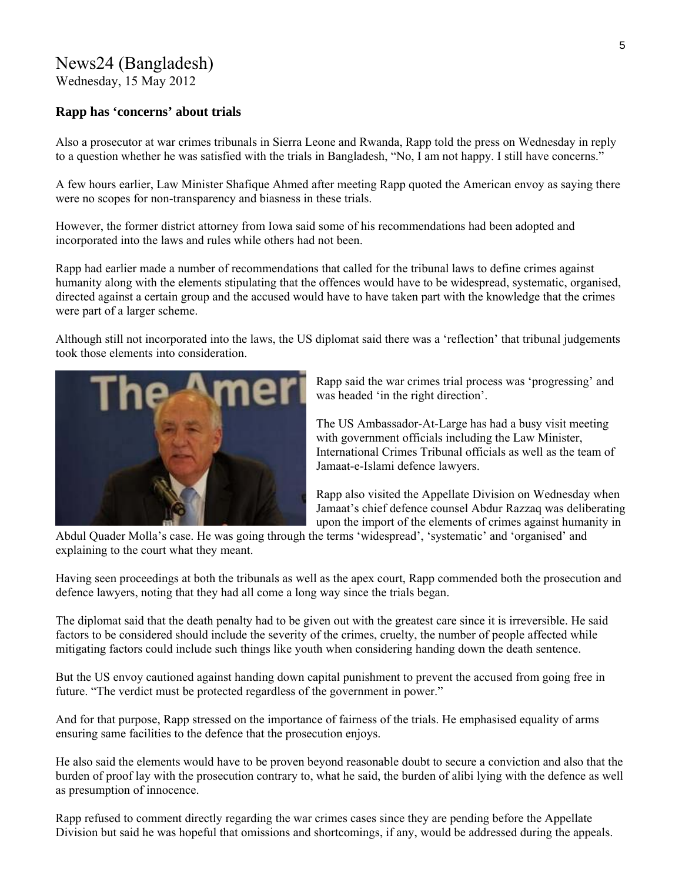## News24 (Bangladesh)

Wednesday, 15 May 2012

#### **Rapp has 'concerns' about trials**

Also a prosecutor at war crimes tribunals in Sierra Leone and Rwanda, Rapp told the press on Wednesday in reply to a question whether he was satisfied with the trials in Bangladesh, "No, I am not happy. I still have concerns."

A few hours earlier, Law Minister Shafique Ahmed after meeting Rapp quoted the American envoy as saying there were no scopes for non-transparency and biasness in these trials.

However, the former district attorney from Iowa said some of his recommendations had been adopted and incorporated into the laws and rules while others had not been.

Rapp had earlier made a number of recommendations that called for the tribunal laws to define crimes against humanity along with the elements stipulating that the offences would have to be widespread, systematic, organised, directed against a certain group and the accused would have to have taken part with the knowledge that the crimes were part of a larger scheme.

Although still not incorporated into the laws, the US diplomat said there was a 'reflection' that tribunal judgements took those elements into consideration.



Rapp said the war crimes trial process was 'progressing' and was headed 'in the right direction'.

The US Ambassador-At-Large has had a busy visit meeting with government officials including the Law Minister, International Crimes Tribunal officials as well as the team of Jamaat-e-Islami defence lawyers.

Rapp also visited the Appellate Division on Wednesday when Jamaat's chief defence counsel Abdur Razzaq was d eliberating upon the import of the elements of crimes against humanity in

Abdul Quader Molla's case. He was going through the terms 'widespread', 'systematic' and 'organised' and explaining to the court what they meant.

Having seen proceedings at both the tribunals as well as the apex court, Rapp commended both the prosecution and defence lawyers, noting that they had all come a long way since the trials began.

The diplomat said that the death penalty had to be given out with the greatest care since it is irreversible. He said factors to be considered should include the severity of the crimes, cruelty, the number of people affected while mitigating factors could include such things like youth when considering handing down the death sentence.

But the US envoy cautioned against handing down capital punishment to prevent the accused from going free in future. "The verdict must be protected regardless of the government in power."

And for that purpose, Rapp stressed on the importance of fairness of the trials. He emphasised equality of arms ensuring same facilities to the defence that the prosecution enjoys.

He also said the elements would have to be proven beyond reasonable doubt to secure a conviction and also that the burden of proof lay with the prosecution contrary to, what he said, the burden of alibi lying with the defence as well as presumption of innocence.

Rapp refused to comment directly regarding the war crimes cases since they are pending before the Appellate Division but said he was hopeful that omissions and shortcomings, if any, would be addressed during the appeals.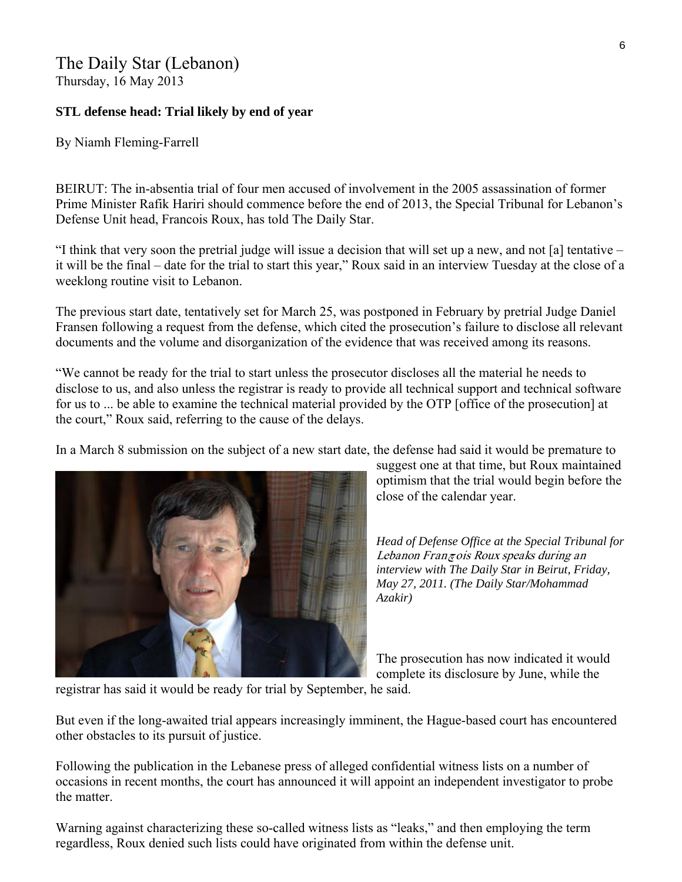## The Daily Star (Lebanon)

Thursday, 16 May 2013

#### **STL defense head: Trial likely by end of year**

By Niamh Fleming-Farrell

BEIRUT: The in-absentia trial of four men accused of involvement in the 2005 assassination of former Prime Minister Rafik Hariri should commence before the end of 2013, the Special Tribunal for Lebanon's Defense Unit head, Francois Roux, has told The Daily Star.

"I think that very soon the pretrial judge will issue a decision that will set up a new, and not [a] tentative – it will be the final – date for the trial to start this year," Roux said in an interview Tuesday at the close of a weeklong routine visit to Lebanon.

The previous start date, tentatively set for March 25, was postponed in February by pretrial Judge Daniel Fransen following a request from the defense, which cited the prosecution's failure to disclose all relevant documents and the volume and disorganization of the evidence that was received among its reasons.

"We cannot be ready for the trial to start unless the prosecutor discloses all the material he needs to disclose to us, and also unless the registrar is ready to provide all technical support and technical software for us to ... be able to examine the technical material provided by the OTP [office of the prosecution] at the court," Roux said, referring to the cause of the delays.

In a March 8 submission on the subject of a new start date, the defense had said it would be premature to



suggest one at that time, but Roux maintained optimism that the trial would begin before the close of the calendar year.

*Head of Defense Office at the Special Tribunal for*  Lebanon Franچois Roux speaks during an *interview with The Daily Star in Beirut, Friday, May 27, 2011. (The Daily Star/Mohammad Azakir)* 

The prosecution has now indicated it would complete its disclosure by June, while the

registrar has said it would be ready for trial by September, he said.

But even if the long-awaited trial appears increasingly imminent, the Hague-based court has encountered other obstacles to its pursuit of justice.

Following the publication in the Lebanese press of alleged confidential witness lists on a number of occasions in recent months, the court has announced it will appoint an independent investigator to probe the matter.

Warning against characterizing these so-called witness lists as "leaks," and then employing the term regardless, Roux denied such lists could have originated from within the defense unit.